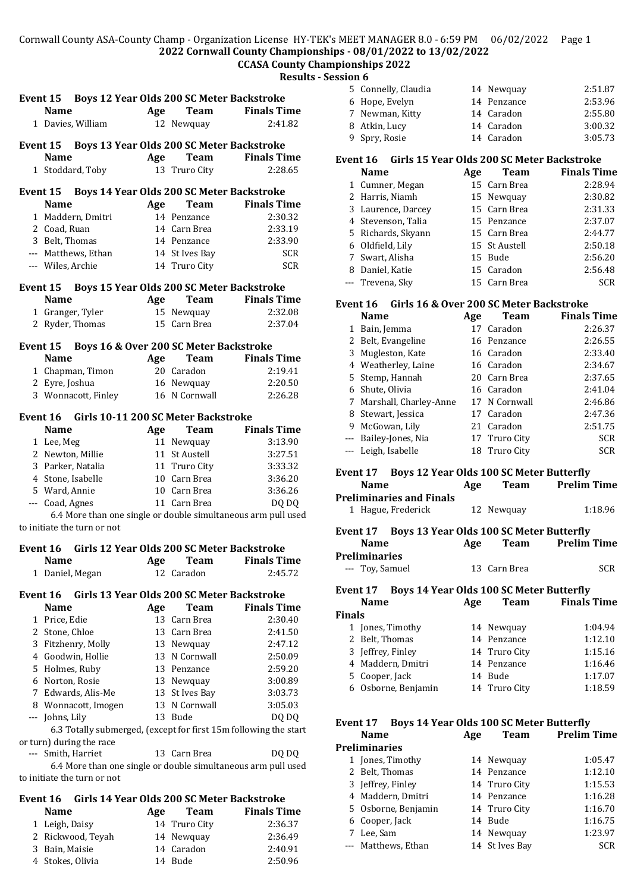# **CCASA County Championships 2022**

**Results - Session 6**

|          | Event 15 Boys 12 Year Olds 200 SC Meter Backstroke  |     |                            |                                                                           |
|----------|-----------------------------------------------------|-----|----------------------------|---------------------------------------------------------------------------|
|          | Name                                                | Age | Team                       | <b>Finals Time</b>                                                        |
|          | 1 Davies, William                                   |     | 12 Newquay                 | 2:41.82                                                                   |
| Event 15 |                                                     |     |                            | Boys 13 Year Olds 200 SC Meter Backstroke                                 |
|          | <b>Name</b>                                         | Age | Team                       | <b>Finals Time</b>                                                        |
|          | 1 Stoddard, Toby                                    |     | 13 Truro City              | 2:28.65                                                                   |
|          |                                                     |     |                            |                                                                           |
|          | Event 15 Boys 14 Year Olds 200 SC Meter Backstroke  |     |                            |                                                                           |
|          | <b>Name</b>                                         | Age | <b>Team</b>                | <b>Finals Time</b>                                                        |
|          | 1 Maddern, Dmitri                                   |     | 14 Penzance                | 2:30.32                                                                   |
|          | 2 Coad, Ruan                                        |     | 14 Carn Brea               | 2:33.19                                                                   |
|          | 3 Belt, Thomas                                      |     | 14 Penzance                | 2:33.90                                                                   |
|          | --- Matthews, Ethan                                 |     | 14 St Ives Bay             | <b>SCR</b>                                                                |
|          | --- Wiles, Archie                                   |     | 14 Truro City              | <b>SCR</b>                                                                |
|          | Event 15                                            |     |                            | Boys 15 Year Olds 200 SC Meter Backstroke                                 |
|          | <b>Name</b>                                         | Age | Team                       | <b>Finals Time</b>                                                        |
|          | 1 Granger, Tyler                                    |     |                            | 2:32.08                                                                   |
|          |                                                     |     | 15 Newquay<br>15 Carn Brea |                                                                           |
|          | 2 Ryder, Thomas                                     |     |                            | 2:37.04                                                                   |
| Event 15 | Boys 16 & Over 200 SC Meter Backstroke              |     |                            |                                                                           |
|          | <b>Name</b>                                         | Age | <b>Team</b>                | <b>Finals Time</b>                                                        |
|          | 1 Chapman, Timon                                    |     | 20 Caradon                 | 2:19.41                                                                   |
|          | 2 Eyre, Joshua                                      |     | 16 Newquay                 | 2:20.50                                                                   |
|          | 3 Wonnacott, Finley                                 |     | 16 N Cornwall              | 2:26.28                                                                   |
|          |                                                     |     |                            |                                                                           |
|          | Girls 10-11 200 SC Meter Backstroke<br>Event 16     |     |                            |                                                                           |
|          | <b>Name</b>                                         | Age | <b>Team</b>                | <b>Finals Time</b>                                                        |
|          | 1 Lee, Meg                                          | 11  | Newquay                    | 3:13.90                                                                   |
|          | 2 Newton, Millie                                    |     | 11 St Austell              | 3:27.51                                                                   |
|          | 3 Parker, Natalia                                   |     | 11 Truro City              | 3:33.32                                                                   |
|          | 4 Stone, Isabelle                                   |     | 10 Carn Brea               | 3:36.20                                                                   |
|          | 5 Ward, Annie                                       |     | 10 Carn Brea               | 3:36.26                                                                   |
|          |                                                     |     |                            |                                                                           |
|          | --- Coad, Agnes                                     |     | 11 Carn Brea               | DQ DQ                                                                     |
|          |                                                     |     |                            | 6.4 More than one single or double simultaneous arm pull used             |
|          | to initiate the turn or not                         |     |                            |                                                                           |
|          | Event 16 Girls 12 Year Olds 200 SC Meter Backstroke |     |                            |                                                                           |
|          | Name                                                | Age | Team                       | <b>Finals Time</b>                                                        |
|          | 1 Daniel, Megan                                     |     | 12 Caradon                 | 2:45.72                                                                   |
|          |                                                     |     |                            |                                                                           |
| Event 16 | <b>Name</b>                                         |     |                            | Girls 13 Year Olds 200 SC Meter Backstroke<br><b>Finals Time</b>          |
|          |                                                     | Age | <b>Team</b>                |                                                                           |
|          | 1 Price, Edie                                       | 13  | Carn Brea                  | 2:30.40                                                                   |
|          | 2 Stone, Chloe                                      |     | 13 Carn Brea               | 2:41.50                                                                   |
|          | 3 Fitzhenry, Molly                                  | 13  | Newquay                    | 2:47.12                                                                   |
|          | 4 Goodwin, Hollie                                   | 13  | N Cornwall                 | 2:50.09                                                                   |
|          | 5 Holmes, Ruby                                      |     | 13 Penzance                | 2:59.20                                                                   |
|          | 6 Norton, Rosie                                     | 13  | Newquay                    | 3:00.89                                                                   |
|          | 7 Edwards, Alis-Me                                  | 13  | St Ives Bay                | 3:03.73                                                                   |
|          | 8 Wonnacott, Imogen                                 |     | 13 N Cornwall              | 3:05.03                                                                   |
|          |                                                     |     | 13 Bude                    |                                                                           |
|          | --- Johns, Lily                                     |     |                            | DQ DQ<br>6.3 Totally submerged, (except for first 15m following the start |
|          | or turn) during the race                            |     |                            |                                                                           |
|          | --- Smith, Harriet                                  |     | 13 Carn Brea               | DQ DQ                                                                     |
|          |                                                     |     |                            |                                                                           |

6.4 More than one single or double simultaneous arm pull used to initiate the turn or not

#### **Event 16 Girls 14 Year Olds 200 SC Meter Backstroke**

| <b>Name</b>       | Age | <b>Team</b>   | <b>Finals Time</b> |
|-------------------|-----|---------------|--------------------|
| 1 Leigh, Daisy    |     | 14 Truro City | 2:36.37            |
| 2 Rickwood, Teyah |     | 14 Newguay    | 2:36.49            |
| 3 Bain, Maisie    |     | 14 Caradon    | 2:40.91            |
| 4 Stokes, Olivia  |     | 14 Bude       | 2:50.96            |

| 5 Connelly, Claudia | 14 Newguay  | 2:51.87 |
|---------------------|-------------|---------|
| 6 Hope, Evelyn      | 14 Penzance | 2:53.96 |
| 7 Newman, Kitty     | 14 Caradon  | 2:55.80 |
| 8 Atkin, Lucy       | 14 Caradon  | 3:00.32 |
| 9 Spry, Rosie       | 14 Caradon  | 3:05.73 |
|                     |             |         |

#### **Event 16 Girls 15 Year Olds 200 SC Meter Backstroke**

| <b>Name</b>        | Age | <b>Team</b>   | <b>Finals Time</b> |
|--------------------|-----|---------------|--------------------|
| 1 Cumner, Megan    |     | 15 Carn Brea  | 2:28.94            |
| 2 Harris, Niamh    |     | 15 Newquay    | 2:30.82            |
| 3 Laurence, Darcey |     | 15 Carn Brea  | 2:31.33            |
| 4 Stevenson, Talia |     | 15 Penzance   | 2:37.07            |
| 5 Richards, Skyann |     | 15 Carn Brea  | 2:44.77            |
| 6 Oldfield, Lily   |     | 15 St Austell | 2:50.18            |
| 7 Swart, Alisha    |     | 15 Bude       | 2:56.20            |
| 8 Daniel, Katie    |     | 15 Caradon    | 2:56.48            |
| --- Trevena, Sky   |     | 15 Carn Brea  | <b>SCR</b>         |

#### **Event 16 Girls 16 & Over 200 SC Meter Backstroke**

|                                                                                                                                                                                                                                                                                                                                                                                                                                                                            | <b>Name</b>              | Age | <b>Team</b>   | <b>Finals Time</b> |
|----------------------------------------------------------------------------------------------------------------------------------------------------------------------------------------------------------------------------------------------------------------------------------------------------------------------------------------------------------------------------------------------------------------------------------------------------------------------------|--------------------------|-----|---------------|--------------------|
| 1                                                                                                                                                                                                                                                                                                                                                                                                                                                                          | Bain, Jemma              |     | 17 Caradon    | 2:26.37            |
|                                                                                                                                                                                                                                                                                                                                                                                                                                                                            | 2 Belt, Evangeline       |     | 16 Penzance   | 2:26.55            |
| 3                                                                                                                                                                                                                                                                                                                                                                                                                                                                          | Mugleston, Kate          |     | 16 Caradon    | 2:33.40            |
|                                                                                                                                                                                                                                                                                                                                                                                                                                                                            | 4 Weatherley, Laine      |     | 16 Caradon    | 2:34.67            |
|                                                                                                                                                                                                                                                                                                                                                                                                                                                                            | 5 Stemp, Hannah          |     | 20 Carn Brea  | 2:37.65            |
|                                                                                                                                                                                                                                                                                                                                                                                                                                                                            | 6 Shute, Olivia          |     | 16 Caradon    | 2:41.04            |
|                                                                                                                                                                                                                                                                                                                                                                                                                                                                            | 7 Marshall, Charley-Anne |     | 17 N Cornwall | 2:46.86            |
| 8                                                                                                                                                                                                                                                                                                                                                                                                                                                                          | Stewart, Jessica         |     | 17 Caradon    | 2:47.36            |
| 9                                                                                                                                                                                                                                                                                                                                                                                                                                                                          | McGowan, Lily            |     | 21 Caradon    | 2:51.75            |
| $\frac{1}{2} \left( \frac{1}{2} \right) \left( \frac{1}{2} \right) \left( \frac{1}{2} \right) \left( \frac{1}{2} \right) \left( \frac{1}{2} \right) \left( \frac{1}{2} \right) \left( \frac{1}{2} \right) \left( \frac{1}{2} \right) \left( \frac{1}{2} \right) \left( \frac{1}{2} \right) \left( \frac{1}{2} \right) \left( \frac{1}{2} \right) \left( \frac{1}{2} \right) \left( \frac{1}{2} \right) \left( \frac{1}{2} \right) \left( \frac{1}{2} \right) \left( \frac$ | Bailey-Jones, Nia        |     | 17 Truro City | <b>SCR</b>         |
|                                                                                                                                                                                                                                                                                                                                                                                                                                                                            | Leigh, Isabelle          |     | 18 Truro City | <b>SCR</b>         |
|                                                                                                                                                                                                                                                                                                                                                                                                                                                                            |                          |     |               |                    |

#### **Event 17 Boys 12 Year Olds 100 SC Meter Butterfly**

| <b>Name</b>              | Age | <b>Team</b> | <b>Prelim Time</b> |
|--------------------------|-----|-------------|--------------------|
| Preliminaries and Finals |     |             |                    |
| 1 Hague, Frederick       |     | 12 Newguay  | 1:18.96            |

#### **Event 17 Boys 13 Year Olds 100 SC Meter Butterfly Name Age Team Prelim Time**

| <b>Preliminaries</b> |              |            |
|----------------------|--------------|------------|
| --- Toy, Samuel      | 13 Carn Brea | <b>SCR</b> |

#### **Event 17 Boys 14 Year Olds 100 SC Meter Butterfly**

| <b>Name</b>         | Age | <b>Team</b>   | <b>Finals Time</b> |
|---------------------|-----|---------------|--------------------|
| <b>Finals</b>       |     |               |                    |
| 1 Jones, Timothy    |     | 14 Newquay    | 1:04.94            |
| 2 Belt, Thomas      |     | 14 Penzance   | 1:12.10            |
| 3 Jeffrey, Finley   |     | 14 Truro City | 1:15.16            |
| 4 Maddern, Dmitri   |     | 14 Penzance   | 1:16.46            |
| 5 Cooper, Jack      |     | 14 Bude       | 1:17.07            |
| 6 Osborne, Benjamin |     | 14 Truro City | 1:18.59            |
|                     |     |               |                    |

# **Event 17 Boys 14 Year Olds 100 SC Meter Butterfly<br>Name 100 Team Prolim Ti**

| <b>Name</b>          | Age | Team | <b>Prelim Time</b>                                                                                                    |
|----------------------|-----|------|-----------------------------------------------------------------------------------------------------------------------|
| <b>Preliminaries</b> |     |      |                                                                                                                       |
| 1 Jones, Timothy     |     |      | 1:05.47                                                                                                               |
| 2 Belt, Thomas       |     |      | 1:12.10                                                                                                               |
| 3 Jeffrey, Finley    |     |      | 1:15.53                                                                                                               |
| 4 Maddern, Dmitri    |     |      | 1:16.28                                                                                                               |
| 5 Osborne, Benjamin  |     |      | 1:16.70                                                                                                               |
| 6 Cooper, Jack       |     |      | 1:16.75                                                                                                               |
| 7 Lee, Sam           |     |      | 1:23.97                                                                                                               |
| --- Matthews, Ethan  |     |      | <b>SCR</b>                                                                                                            |
|                      |     |      | 14 Newquay<br>14 Penzance<br>14 Truro City<br>14 Penzance<br>14 Truro City<br>14 Bude<br>14 Newquay<br>14 St Ives Bay |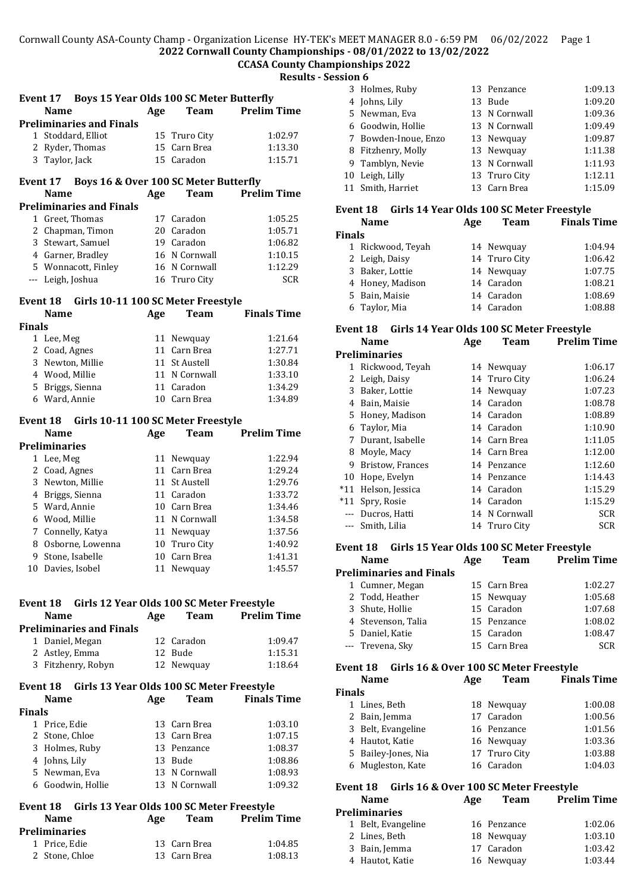#### Cornwall County ASA-County Champ - Organization License HY-TEK's MEET MANAGER 8.0 - 6:59 PM 06/02/2022 Page 1 **2022 Cornwall County Championships - 08/01/2022 to 13/02/2022**

## **CCASA County Championships 2022**

**Results - Session 6**

| <b>Boys 15 Year Olds 100 SC Meter Butterfly</b><br>Event 17 |     |                       |                    |
|-------------------------------------------------------------|-----|-----------------------|--------------------|
| <b>Name</b>                                                 | Age | <b>Team</b>           | <b>Prelim Time</b> |
| <b>Preliminaries and Finals</b>                             |     |                       |                    |
| Stoddard, Elliot<br>$\mathbf{1}$                            |     | 15 Truro City         | 1:02.97            |
| 2 Ryder, Thomas                                             |     | 15 Carn Brea          | 1:13.30            |
| 3 Taylor, Jack                                              |     | 15 Caradon            | 1:15.71            |
| Boys 16 & Over 100 SC Meter Butterfly<br>Event 17           |     |                       |                    |
| Name                                                        | Age | <b>Team</b>           | <b>Prelim Time</b> |
| <b>Preliminaries and Finals</b>                             |     |                       |                    |
| Greet, Thomas<br>1                                          | 17  | Caradon               | 1:05.25            |
| 2 Chapman, Timon                                            |     | 20 Caradon            | 1:05.71            |
| 3 Stewart, Samuel                                           |     | 19 Caradon            | 1:06.82            |
| 4 Garner, Bradley                                           |     | 16 N Cornwall         | 1:10.15            |
| 5 Wonnacott, Finley                                         |     | 16 N Cornwall         | 1:12.29            |
| --- Leigh, Joshua                                           |     | 16 Truro City         | <b>SCR</b>         |
|                                                             |     |                       |                    |
| Event 18 Girls 10-11 100 SC Meter Freestyle                 |     |                       |                    |
| Name                                                        | Age | <b>Team</b>           | <b>Finals Time</b> |
| <b>Finals</b>                                               |     |                       |                    |
| 1 Lee, Meg                                                  | 11  | Newquay               | 1:21.64            |
| 2 Coad, Agnes                                               |     | 11 Carn Brea          | 1:27.71            |
| 3 Newton, Millie                                            | 11  | St Austell            | 1:30.84            |
| 4 Wood, Millie                                              |     | 11 N Cornwall         | 1:33.10            |
| 5 Briggs, Sienna                                            |     | 11 Caradon            | 1:34.29            |
| 6 Ward, Annie                                               |     | 10 Carn Brea          | 1:34.89            |
| Event 18 Girls 10-11 100 SC Meter Freestyle                 |     |                       |                    |
| <b>Name</b>                                                 | Age | <b>Team</b>           | <b>Prelim Time</b> |
| <b>Preliminaries</b>                                        |     |                       |                    |
| 1 Lee, Meg                                                  |     | 11 Newquay            | 1:22.94            |
| 2 Coad, Agnes                                               |     | 11 Carn Brea          | 1:29.24            |
| 3 Newton, Millie                                            |     | 11 St Austell         | 1:29.76            |
| 4 Briggs, Sienna                                            |     | 11 Caradon            | 1:33.72            |
| 5 Ward, Annie                                               |     | 10 Carn Brea          | 1:34.46            |
| 6 Wood, Millie                                              |     | 11 N Cornwall         | 1:34.58            |
| Connelly, Katya<br>7                                        | 11  | Newquay               | 1:37.56            |
| 8 Osborne, Lowenna                                          | 10  | <b>Truro City</b>     | 1:40.92            |
| 9<br>Stone, Isabelle                                        |     | 10 Carn Brea          | 1:41.31            |
| 10 Davies, Isobel                                           |     | 11 Newquay            | 1:45.57            |
|                                                             |     |                       |                    |
|                                                             |     |                       |                    |
| Event 18 Girls 12 Year Olds 100 SC Meter Freestyle          |     |                       |                    |
| Name                                                        | Age | <b>Team</b>           | <b>Prelim Time</b> |
| <b>Preliminaries and Finals</b>                             |     |                       |                    |
| 1 Daniel, Megan                                             |     | 12 Caradon            | 1:09.47            |
| 2 Astley, Emma<br>3 Fitzhenry, Robyn                        |     | 12 Bude<br>12 Newquay | 1:15.31<br>1:18.64 |
|                                                             |     |                       |                    |
| Event 18 Girls 13 Year Olds 100 SC Meter Freestyle          |     |                       |                    |
| <b>Name</b>                                                 | Age | <b>Team</b>           | <b>Finals Time</b> |
| <b>Finals</b>                                               |     |                       |                    |
| 1 Price, Edie                                               |     | 13 Carn Brea          | 1:03.10            |
| 2 Stone, Chloe                                              |     | 13 Carn Brea          | 1:07.15            |
| 3 Holmes, Ruby                                              |     | 13 Penzance           | 1:08.37            |
| 4 Johns, Lily                                               |     | 13 Bude               | 1:08.86            |
| 5 Newman, Eva                                               |     | 13 N Cornwall         | 1:08.93            |
| 6 Goodwin, Hollie                                           |     | 13 N Cornwall         | 1:09.32            |
|                                                             |     |                       |                    |
| Event 18 Girls 13 Year Olds 100 SC Meter Freestyle<br>Name  | Age | <b>Team</b>           | <b>Prelim Time</b> |
| <b>Preliminaries</b>                                        |     |                       |                    |

 Price, Edie 13 Carn Brea 1:04.85 Stone, Chloe 13 Carn Brea 1:08.13

| 3 Holmes, Ruby       | 13 Penzance   | 1:09.13 |
|----------------------|---------------|---------|
| 4 Johns, Lily        | 13 Bude       | 1:09.20 |
| 5 Newman, Eva        | 13 N Cornwall | 1:09.36 |
| 6 Goodwin, Hollie    | 13 N Cornwall | 1:09.49 |
| 7 Bowden-Inoue, Enzo | 13 Newquay    | 1:09.87 |
| 8 Fitzhenry, Molly   | 13 Newquay    | 1:11.38 |
| 9 Tamblyn, Nevie     | 13 N Cornwall | 1:11.93 |
| 10 Leigh, Lilly      | 13 Truro City | 1:12.11 |
| 11 Smith, Harriet    | 13 Carn Brea  | 1:15.09 |
|                      |               |         |

#### **Event 18 Girls 14 Year Olds 100 SC Meter Freestyle**

|               | <b>Name</b>       | Age | Team          | <b>Finals Time</b> |
|---------------|-------------------|-----|---------------|--------------------|
| <b>Finals</b> |                   |     |               |                    |
|               | 1 Rickwood, Teyah |     | 14 Newquay    | 1:04.94            |
|               | 2 Leigh, Daisy    |     | 14 Truro City | 1:06.42            |
|               | 3 Baker, Lottie   |     | 14 Newquay    | 1:07.75            |
|               | 4 Honey, Madison  |     | 14 Caradon    | 1:08.21            |
|               | 5 Bain, Maisie    |     | 14 Caradon    | 1:08.69            |
|               | 6 Taylor, Mia     |     | 14 Caradon    | 1:08.88            |

#### **Event 18 Girls 14 Year Olds 100 SC Meter Freestyle**

|          | Name                 | Age | Team          | <b>Prelim Time</b> |
|----------|----------------------|-----|---------------|--------------------|
|          | <b>Preliminaries</b> |     |               |                    |
| 1        | Rickwood, Teyah      |     | 14 Newquay    | 1:06.17            |
| 2        | Leigh, Daisy         |     | 14 Truro City | 1:06.24            |
| 3        | Baker, Lottie        |     | 14 Newquay    | 1:07.23            |
| 4        | Bain, Maisie         |     | 14 Caradon    | 1:08.78            |
| 5.       | Honey, Madison       |     | 14 Caradon    | 1:08.89            |
| 6        | Taylor, Mia          |     | 14 Caradon    | 1:10.90            |
| 7        | Durant, Isabelle     |     | 14 Carn Brea  | 1:11.05            |
| 8        | Moyle, Macy          |     | 14 Carn Brea  | 1:12.00            |
| 9        | Bristow, Frances     |     | 14 Penzance   | 1:12.60            |
| 10       | Hope, Evelyn         |     | 14 Penzance   | 1:14.43            |
| *11      | Helson, Jessica      |     | 14 Caradon    | 1:15.29            |
| $*11$    | Spry, Rosie          |     | 14 Caradon    | 1:15.29            |
| $\cdots$ | Ducros, Hatti        |     | 14 N Cornwall | <b>SCR</b>         |
| $\cdots$ | Smith, Lilia         |     | 14 Truro City | SCR                |

## **Event 18 Girls 15 Year Olds 100 SC Meter Freestyle**

|                                 | <b>Name</b>        | Age | <b>Team</b>  | <b>Prelim Time</b> |
|---------------------------------|--------------------|-----|--------------|--------------------|
| <b>Preliminaries and Finals</b> |                    |     |              |                    |
|                                 | 1 Cumner, Megan    |     | 15 Carn Brea | 1:02.27            |
|                                 | 2 Todd, Heather    |     | 15 Newquay   | 1:05.68            |
|                                 | 3 Shute, Hollie    |     | 15 Caradon   | 1:07.68            |
|                                 | 4 Stevenson, Talia |     | 15 Penzance  | 1:08.02            |
|                                 | 5 Daniel, Katie    |     | 15 Caradon   | 1:08.47            |
|                                 | --- Trevena, Sky   |     | 15 Carn Brea | <b>SCR</b>         |

### **Event 18 Girls 16 & Over 100 SC Meter Freestyle**

|               | <b>Name</b>         | Age | <b>Team</b>   | <b>Finals Time</b> |
|---------------|---------------------|-----|---------------|--------------------|
| <b>Finals</b> |                     |     |               |                    |
|               | 1 Lines, Beth       |     | 18 Newquay    | 1:00.08            |
|               | 2 Bain, Jemma       |     | 17 Caradon    | 1:00.56            |
|               | 3 Belt, Evangeline  |     | 16 Penzance   | 1:01.56            |
|               | 4 Hautot, Katie     |     | 16 Newquay    | 1:03.36            |
|               | 5 Bailey-Jones, Nia |     | 17 Truro City | 1:03.88            |
|               | 6 Mugleston, Kate   |     | 16 Caradon    | 1:04.03            |
|               |                     |     |               |                    |

#### **Event 18 Girls 16 & Over 100 SC Meter Freestyle Name Age Team Prelim Time**

| .                    |  | .           | .       |  |  |
|----------------------|--|-------------|---------|--|--|
| <b>Preliminaries</b> |  |             |         |  |  |
| 1 Belt, Evangeline   |  | 16 Penzance | 1:02.06 |  |  |
| 2 Lines, Beth        |  | 18 Newquay  | 1:03.10 |  |  |
| 3 Bain, Jemma        |  | 17 Caradon  | 1:03.42 |  |  |
| 4 Hautot, Katie      |  | 16 Newguay  | 1:03.44 |  |  |
|                      |  |             |         |  |  |